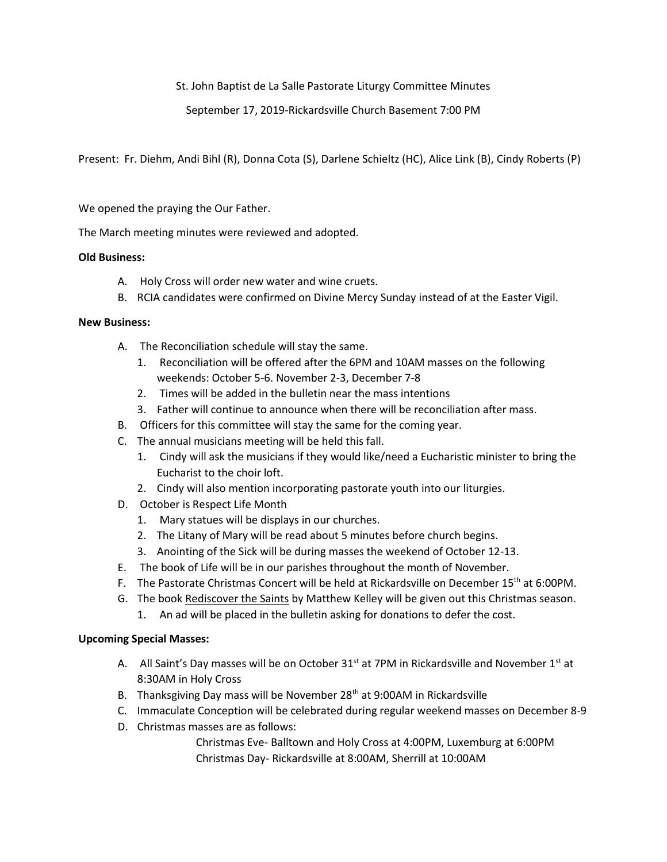St. John Baptist de La Salle Pastorate Liturgy Committee Minutes

September 17, 2019-Rickardsville Church Basement 7:00 PM

Present: Fr. Diehm, Andi Bihl (R), Donna Cota (S), Darlene Schieltz (HC), Alice Link (B), Cindy Roberts (P)

We opened the praying the Our Father.

The March meeting minutes were reviewed and adopted.

## **Old Business:**

- A. Holy Cross will order new water and wine cruets.
- B. RCIA candidates were confirmed on Divine Mercy Sunday instead of at the Easter Vigil.

## **New Business:**

- A. The Reconciliation schedule will stay the same.
	- 1. Reconciliation will be offered after the 6PM and 10AM masses on the following weekends: October 5-6. November 2-3, December 7-8
	- 2. Times will be added in the bulletin near the mass intentions
	- 3. Father will continue to announce when there will be reconciliation after mass.
- B. Officers for this committee will stay the same for the coming year.
- C. The annual musicians meeting will be held this fall.
	- 1. Cindy will ask the musicians if they would like/need a Eucharistic minister to bring the Eucharist to the choir loft.
	- 2. Cindy will also mention incorporating pastorate youth into our liturgies.
- D. October is Respect Life Month
	- 1. Mary statues will be displays in our churches.
	- 2. The Litany of Mary will be read about 5 minutes before church begins.
	- 3. Anointing of the Sick will be during masses the weekend of October 12-13.
- E. The book of Life will be in our parishes throughout the month of November.
- F. The Pastorate Christmas Concert will be held at Rickardsville on December 15<sup>th</sup> at 6:00PM.
- G. The book Rediscover the Saints by Matthew Kelley will be given out this Christmas season.
	- 1. An ad will be placed in the bulletin asking for donations to defer the cost.

## **Upcoming Special Masses:**

- A. All Saint's Day masses will be on October  $31<sup>st</sup>$  at 7PM in Rickardsville and November  $1<sup>st</sup>$  at 8:30AM in Holy Cross
- B. Thanksgiving Day mass will be November 28<sup>th</sup> at 9:00AM in Rickardsville
- C. Immaculate Conception will be celebrated during regular weekend masses on December 8-9
- D. Christmas masses are as follows:

Christmas Eve- Balltown and Holy Cross at 4:00PM, Luxemburg at 6:00PM Christmas Day- Rickardsville at 8:00AM, Sherrill at 10:00AM